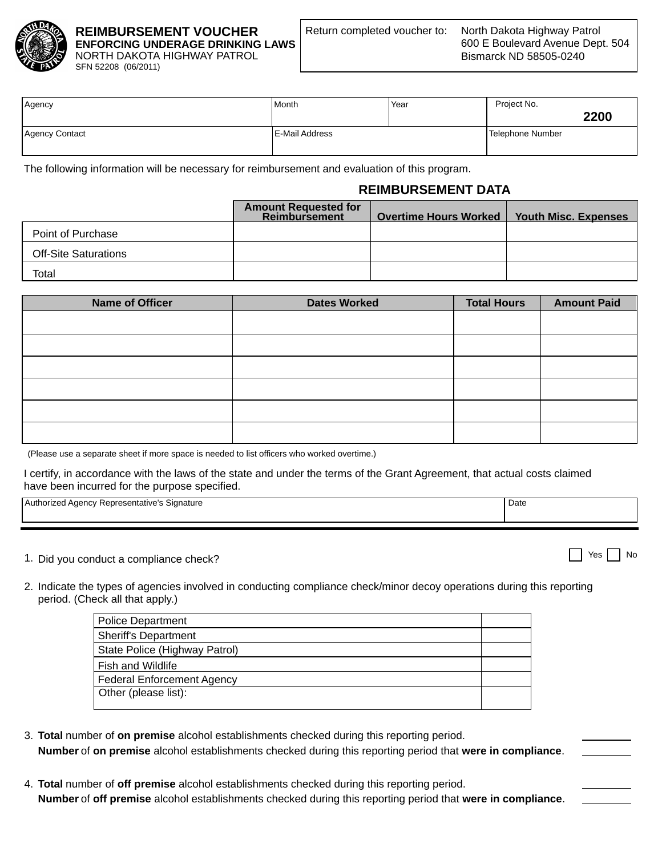

## **REIMBURSEMENT VOUCHER ENFORCING UNDERAGE DRINKING LAWS** NORTH DAKOTA HIGHWAY PATROL SFN 52208 (06/2011)

| Agency         | l Month          | Year | Project No.      |      |
|----------------|------------------|------|------------------|------|
|                |                  |      |                  | 2200 |
| Agency Contact | l E-Mail Address |      | Telephone Number |      |
|                |                  |      |                  |      |

The following information will be necessary for reimbursement and evaluation of this program.

## **REIMBURSEMENT DATA**

|                             | <b>Amount Requested for</b><br><b>Reimbursement</b> | <b>Overtime Hours Worked</b> | <b>Youth Misc. Expenses</b> |
|-----------------------------|-----------------------------------------------------|------------------------------|-----------------------------|
| Point of Purchase           |                                                     |                              |                             |
| <b>Off-Site Saturations</b> |                                                     |                              |                             |
| Total                       |                                                     |                              |                             |

| <b>Name of Officer</b> | <b>Dates Worked</b> | <b>Total Hours</b> | <b>Amount Paid</b> |
|------------------------|---------------------|--------------------|--------------------|
|                        |                     |                    |                    |
|                        |                     |                    |                    |
|                        |                     |                    |                    |
|                        |                     |                    |                    |
|                        |                     |                    |                    |
|                        |                     |                    |                    |

(Please use a separate sheet if more space is needed to list officers who worked overtime.)

I certify, in accordance with the laws of the state and under the terms of the Grant Agreement, that actual costs claimed have been incurred for the purpose specified.

Authorized Agency Representative's Signature

## 1. Did you conduct a compliance check?

2. Indicate the types of agencies involved in conducting compliance check/minor decoy operations during this reporting period. (Check all that apply.)

| <b>Police Department</b>          |  |
|-----------------------------------|--|
| <b>Sheriff's Department</b>       |  |
| State Police (Highway Patrol)     |  |
| <b>Fish and Wildlife</b>          |  |
| <b>Federal Enforcement Agency</b> |  |
| Other (please list):              |  |
|                                   |  |

- 3. Total number of on premise alcohol establishments checked during this reporting period. Number of on premise alcohol establishments checked during this reporting period that were in compliance.
- 4. Total number of off premise alcohol establishments checked during this reporting period. Number of off premise alcohol establishments checked during this reporting period that were in compliance.

**No Yes** 

Date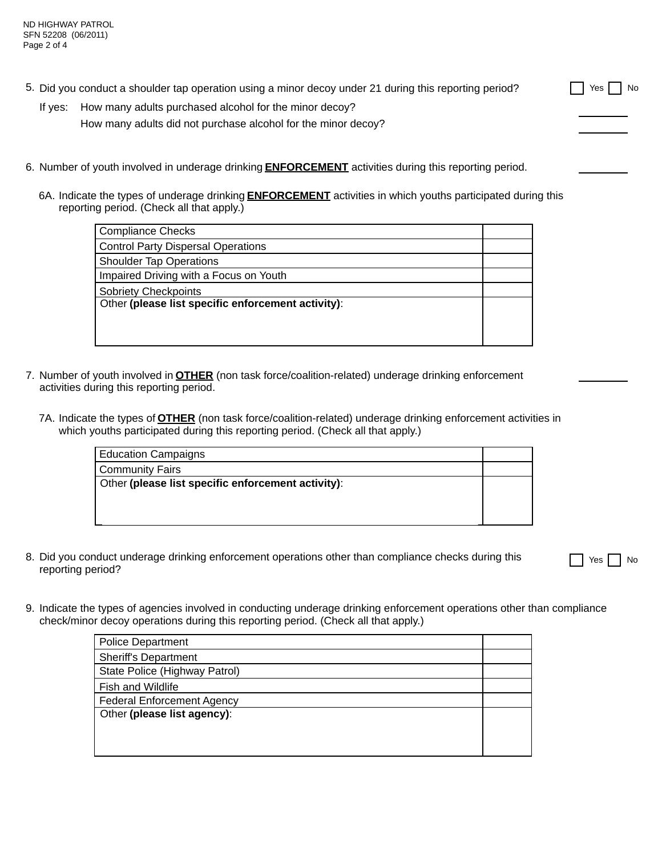- 5. Did you conduct a shoulder tap operation using a minor decoy under 21 during this reporting period?
	- How many adults purchased alcohol for the minor decoy? If yes: How many adults did not purchase alcohol for the minor decoy?
- 6. Number of youth involved in underage drinking **ENFORCEMENT** activities during this reporting period.
	- 6A. Indicate the types of underage drinking **ENFORCEMENT** activities in which youths participated during this reporting period. (Check all that apply.)

| <b>Compliance Checks</b>                           |  |
|----------------------------------------------------|--|
| <b>Control Party Dispersal Operations</b>          |  |
| <b>Shoulder Tap Operations</b>                     |  |
| Impaired Driving with a Focus on Youth             |  |
| <b>Sobriety Checkpoints</b>                        |  |
| Other (please list specific enforcement activity): |  |
|                                                    |  |
|                                                    |  |

- 7. Number of youth involved in **OTHER** (non task force/coalition-related) underage drinking enforcement activities during this reporting period.
	- 7A. Indicate the types of **OTHER** (non task force/coalition-related) underage drinking enforcement activities in which youths participated during this reporting period. (Check all that apply.)

- 8. Did you conduct underage drinking enforcement operations other than compliance checks during this reporting period?
- Yes  $\vert$ No

 $\Box$  Yes  $\Box$  No

9. Indicate the types of agencies involved in conducting underage drinking enforcement operations other than compliance check/minor decoy operations during this reporting period. (Check all that apply.)

| <b>Police Department</b>          |  |
|-----------------------------------|--|
| <b>Sheriff's Department</b>       |  |
| State Police (Highway Patrol)     |  |
| Fish and Wildlife                 |  |
| <b>Federal Enforcement Agency</b> |  |
| Other (please list agency):       |  |
|                                   |  |
|                                   |  |
|                                   |  |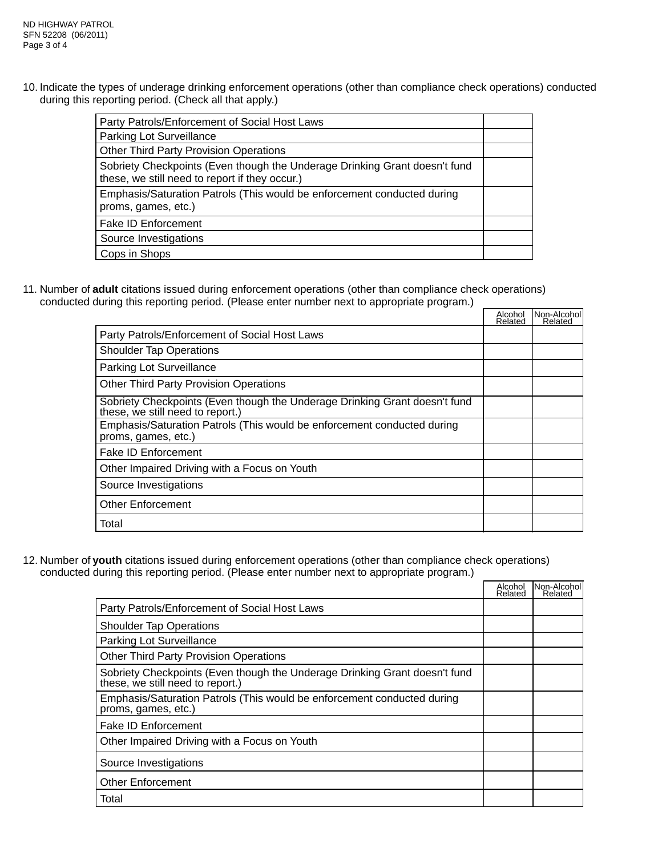10. Indicate the types of underage drinking enforcement operations (other than compliance check operations) conducted during this reporting period. (Check all that apply.)

| Party Patrols/Enforcement of Social Host Laws                                                                                |  |
|------------------------------------------------------------------------------------------------------------------------------|--|
| <b>Parking Lot Surveillance</b>                                                                                              |  |
| <b>Other Third Party Provision Operations</b>                                                                                |  |
| Sobriety Checkpoints (Even though the Underage Drinking Grant doesn't fund<br>these, we still need to report if they occur.) |  |
| Emphasis/Saturation Patrols (This would be enforcement conducted during<br>proms, games, etc.)                               |  |
| <b>Fake ID Enforcement</b>                                                                                                   |  |
| Source Investigations                                                                                                        |  |
| Cops in Shops                                                                                                                |  |

11. Number of adult citations issued during enforcement operations (other than compliance check operations) conducted during this reporting period. (Please enter number next to appropriate program.)  $\overline{1}$  absolute the absolute  $\overline{1}$ 

|                                                                                                                | <b>Alcohol</b><br>Related | INON-AICONOI<br>Related |
|----------------------------------------------------------------------------------------------------------------|---------------------------|-------------------------|
| Party Patrols/Enforcement of Social Host Laws                                                                  |                           |                         |
| <b>Shoulder Tap Operations</b>                                                                                 |                           |                         |
| Parking Lot Surveillance                                                                                       |                           |                         |
| <b>Other Third Party Provision Operations</b>                                                                  |                           |                         |
| Sobriety Checkpoints (Even though the Underage Drinking Grant doesn't fund<br>these, we still need to report.) |                           |                         |
| Emphasis/Saturation Patrols (This would be enforcement conducted during<br>proms, games, etc.)                 |                           |                         |
| <b>Fake ID Enforcement</b>                                                                                     |                           |                         |
| Other Impaired Driving with a Focus on Youth                                                                   |                           |                         |
| Source Investigations                                                                                          |                           |                         |
| <b>Other Enforcement</b>                                                                                       |                           |                         |
| Total                                                                                                          |                           |                         |

12. Number of youth citations issued during enforcement operations (other than compliance check operations) conducted during this reporting period. (Please enter number next to appropriate program.)

|                                                                                                                | Related | Related |
|----------------------------------------------------------------------------------------------------------------|---------|---------|
| Party Patrols/Enforcement of Social Host Laws                                                                  |         |         |
| <b>Shoulder Tap Operations</b>                                                                                 |         |         |
| Parking Lot Surveillance                                                                                       |         |         |
| <b>Other Third Party Provision Operations</b>                                                                  |         |         |
| Sobriety Checkpoints (Even though the Underage Drinking Grant doesn't fund<br>these, we still need to report.) |         |         |
| Emphasis/Saturation Patrols (This would be enforcement conducted during<br>proms, games, etc.)                 |         |         |
| <b>Fake ID Enforcement</b>                                                                                     |         |         |
| Other Impaired Driving with a Focus on Youth                                                                   |         |         |
| Source Investigations                                                                                          |         |         |
| <b>Other Enforcement</b>                                                                                       |         |         |
| Total                                                                                                          |         |         |

Alcohol Non-Alcohol